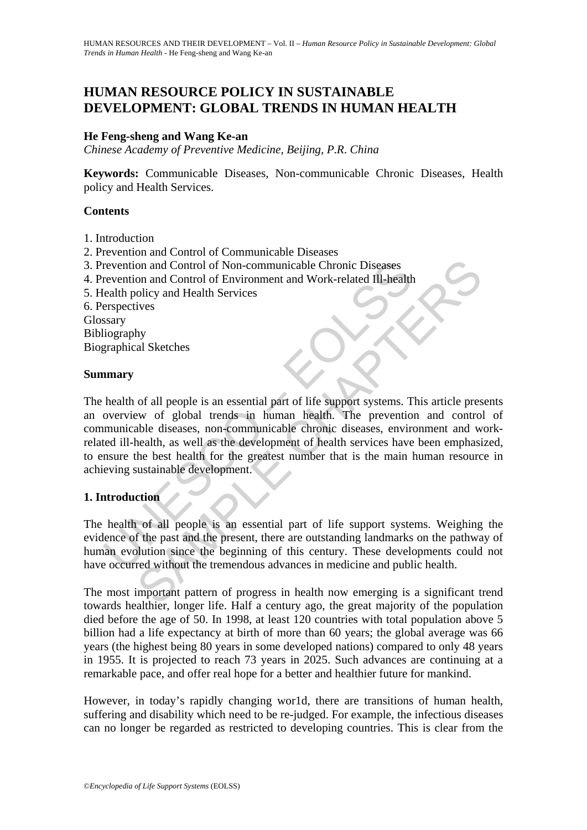## **HUMAN RESOURCE POLICY IN SUSTAINABLE DEVELOPMENT: GLOBAL TRENDS IN HUMAN HEALTH**

## **He Feng-sheng and Wang Ke-an**

*Chinese Academy of Preventive Medicine, Beijing, P*.*R*. *China* 

**Keywords:** Communicable Diseases, Non-communicable Chronic Diseases, Health policy and Health Services.

#### **Contents**

- 1. Introduction
- 2. Prevention and Control of Communicable Diseases
- 3. Prevention and Control of Non-communicable Chronic Diseases
- 4. Prevention and Control of Environment and Work-related Ill-health
- 5. Health policy and Health Services
- 6. Perspectives

Glossary

Bibliography

Biographical Sketches

#### **Summary**

revention and Control of Non-communicable Chronic Diseases<br>revention and Control of Environment and Work-related III-health<br>ealth policy and Health Services<br>erspectives<br>sary<br>sary<br>sary<br>sary<br>praphical Sketches<br>manry<br>health o on and Control of Non-communicable Chronic Diseases<br>on and Control of Environment and Work-related III-health<br>olivey and Health Services<br>ives<br>the same Health Services<br>of all people is an essential part of life support syst The health of all people is an essential part of life support systems. This article presents an overview of global trends in human health. The prevention and control of communicable diseases, non-communicable chronic diseases, environment and workrelated ill-health, as well as the development of health services have been emphasized, to ensure the best health for the greatest number that is the main human resource in achieving sustainable development.

## **1. Introduction**

The health of all people is an essential part of life support systems. Weighing the evidence of the past and the present, there are outstanding landmarks on the pathway of human evolution since the beginning of this century. These developments could not have occurred without the tremendous advances in medicine and public health.

The most important pattern of progress in health now emerging is a significant trend towards healthier, longer life. Half a century ago, the great majority of the population died before the age of 50. In 1998, at least 120 countries with total population above 5 billion had a life expectancy at birth of more than 60 years; the global average was 66 years (the highest being 80 years in some developed nations) compared to only 48 years in 1955. It is projected to reach 73 years in 2025. Such advances are continuing at a remarkable pace, and offer real hope for a better and healthier future for mankind.

However, in today's rapidly changing wor1d, there are transitions of human health, suffering and disability which need to be re-judged. For example, the infectious diseases can no longer be regarded as restricted to developing countries. This is clear from the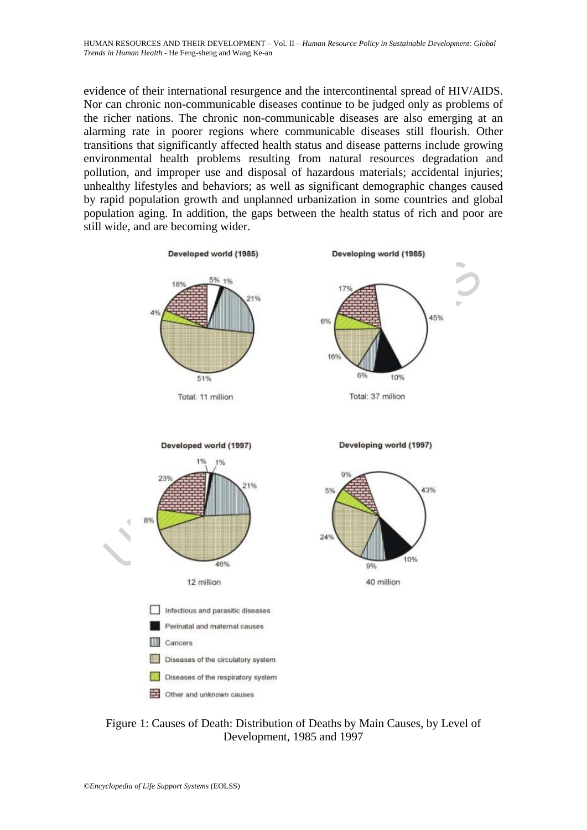evidence of their international resurgence and the intercontinental spread of HIV/AIDS. Nor can chronic non-communicable diseases continue to be judged only as problems of the richer nations. The chronic non-communicable diseases are also emerging at an alarming rate in poorer regions where communicable diseases still flourish. Other transitions that significantly affected health status and disease patterns include growing environmental health problems resulting from natural resources degradation and pollution, and improper use and disposal of hazardous materials; accidental injuries; unhealthy lifestyles and behaviors; as well as significant demographic changes caused by rapid population growth and unplanned urbanization in some countries and global population aging. In addition, the gaps between the health status of rich and poor are still wide, and are becoming wider.



Figure 1: Causes of Death: Distribution of Deaths by Main Causes, by Level of Development, 1985 and 1997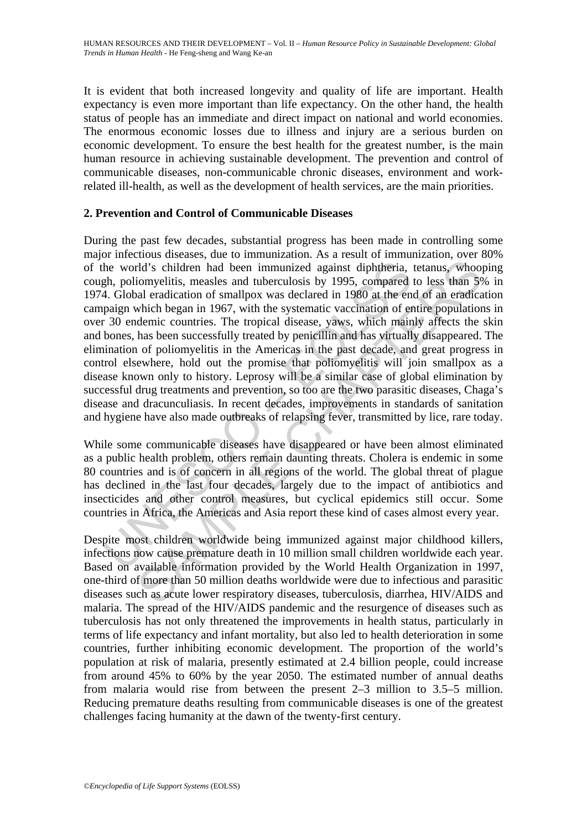It is evident that both increased longevity and quality of life are important. Health expectancy is even more important than life expectancy. On the other hand, the health status of people has an immediate and direct impact on national and world economies. The enormous economic losses due to illness and injury are a serious burden on economic development. To ensure the best health for the greatest number, is the main human resource in achieving sustainable development. The prevention and control of communicable diseases, non-communicable chronic diseases, environment and workrelated ill-health, as well as the development of health services, are the main priorities.

## **2. Prevention and Control of Communicable Diseases**

he world's children had been immunized against diphtheria, etch, poliomyelitis, measles and tuberculosis by 1995, compared 4. Global eradication of smallpox was declared in 1980 at the en paign which began in 1967, with th d'a' schildren had been immunized against diphtheria, tetanus, whoo<br>iomyelitis, measles and tuberculosis by 1995, compared to less than 5%<br>and eradication of smallpox was declared in 1980 at he end of an eradica<br>which bega During the past few decades, substantial progress has been made in controlling some major infectious diseases, due to immunization. As a result of immunization, over 80% of the world's children had been immunized against diphtheria, tetanus, whooping cough, poliomyelitis, measles and tuberculosis by 1995, compared to less than 5% in 1974. Global eradication of smallpox was declared in 1980 at the end of an eradication campaign which began in 1967, with the systematic vaccination of entire populations in over 30 endemic countries. The tropical disease, yaws, which mainly affects the skin and bones, has been successfully treated by penicillin and has virtually disappeared. The elimination of poliomyelitis in the Americas in the past decade, and great progress in control elsewhere, hold out the promise that poliomyelitis will join smallpox as a disease known only to history. Leprosy will be a similar case of global elimination by successful drug treatments and prevention, so too are the two parasitic diseases, Chaga's disease and dracunculiasis. In recent decades, improvements in standards of sanitation and hygiene have also made outbreaks of relapsing fever, transmitted by lice, rare today.

While some communicable diseases have disappeared or have been almost eliminated as a public health problem, others remain daunting threats. Cholera is endemic in some 80 countries and is of concern in all regions of the world. The global threat of plague has declined in the last four decades, largely due to the impact of antibiotics and insecticides and other control measures, but cyclical epidemics still occur. Some countries in Africa, the Americas and Asia report these kind of cases almost every year.

Despite most children worldwide being immunized against major childhood killers, infections now cause premature death in 10 million small children worldwide each year. Based on available information provided by the World Health Organization in 1997, one-third of more than 50 million deaths worldwide were due to infectious and parasitic diseases such as acute lower respiratory diseases, tuberculosis, diarrhea, HIV/AIDS and malaria. The spread of the HIV/AIDS pandemic and the resurgence of diseases such as tuberculosis has not only threatened the improvements in health status, particularly in terms of life expectancy and infant mortality, but also led to health deterioration in some countries, further inhibiting economic development. The proportion of the world's population at risk of malaria, presently estimated at 2.4 billion people, could increase from around 45% to 60% by the year 2050. The estimated number of annual deaths from malaria would rise from between the present 2–3 million to 3.5–5 million. Reducing premature deaths resulting from communicable diseases is one of the greatest challenges facing humanity at the dawn of the twenty-first century.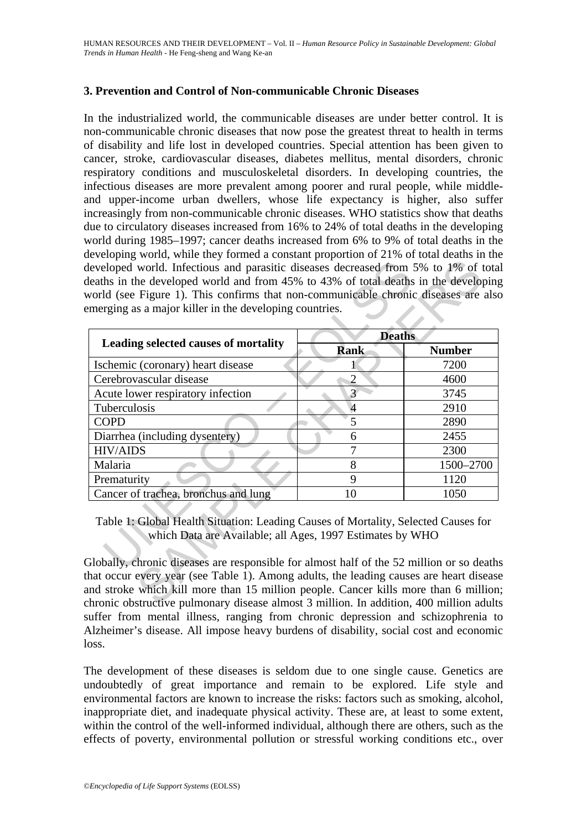## **3. Prevention and Control of Non-communicable Chronic Diseases**

In the industrialized world, the communicable diseases are under better control. It is non-communicable chronic diseases that now pose the greatest threat to health in terms of disability and life lost in developed countries. Special attention has been given to cancer, stroke, cardiovascular diseases, diabetes mellitus, mental disorders, chronic respiratory conditions and musculoskeletal disorders. In developing countries, the infectious diseases are more prevalent among poorer and rural people, while middleand upper-income urban dwellers, whose life expectancy is higher, also suffer increasingly from non-communicable chronic diseases. WHO statistics show that deaths due to circulatory diseases increased from 16% to 24% of total deaths in the developing world during 1985–1997; cancer deaths increased from 6% to 9% of total deaths in the developing world, while they formed a constant proportion of 21% of total deaths in the developed world. Infectious and parasitic diseases decreased from 5% to 1% of total deaths in the developed world and from 45% to 43% of total deaths in the developing world (see Figure 1). This confirms that non-communicable chronic diseases are also emerging as a major killer in the developing countries.

| Leading selected causes of mortality                                                                                                                                                                                                         | <b>Deaths</b>  |               |
|----------------------------------------------------------------------------------------------------------------------------------------------------------------------------------------------------------------------------------------------|----------------|---------------|
|                                                                                                                                                                                                                                              | Rank           | <b>Number</b> |
| Ischemic (coronary) heart disease                                                                                                                                                                                                            |                | 7200          |
| Cerebrovascular disease                                                                                                                                                                                                                      | $\overline{2}$ | 4600          |
| Acute lower respiratory infection                                                                                                                                                                                                            | $\overline{3}$ | 3745          |
| Tuberculosis                                                                                                                                                                                                                                 | $\overline{4}$ | 2910          |
| <b>COPD</b>                                                                                                                                                                                                                                  | 5              | 2890          |
| Diarrhea (including dysentery)                                                                                                                                                                                                               | 6              | 2455          |
| <b>HIV/AIDS</b>                                                                                                                                                                                                                              | 7              | 2300          |
| Malaria                                                                                                                                                                                                                                      | 8              | 1500-2700     |
| Prematurity                                                                                                                                                                                                                                  | 9              | 1120          |
| Cancer of trachea, bronchus and lung                                                                                                                                                                                                         | 10             | 1050          |
| Table 1: Global Health Situation: Leading Causes of Mortality, Selected Causes for<br>which Data are Available; all Ages, 1997 Estimates by WHO<br>Globally, chronic diseases are responsible for almost half of the 52 million or so deaths |                |               |

Globally, chronic diseases are responsible for almost half of the 52 million or so deaths that occur every year (see Table 1). Among adults, the leading causes are heart disease and stroke which kill more than 15 million people. Cancer kills more than 6 million; chronic obstructive pulmonary disease almost 3 million. In addition, 400 million adults suffer from mental illness, ranging from chronic depression and schizophrenia to Alzheimer's disease. All impose heavy burdens of disability, social cost and economic loss.

The development of these diseases is seldom due to one single cause. Genetics are undoubtedly of great importance and remain to be explored. Life style and environmental factors are known to increase the risks: factors such as smoking, alcohol, inappropriate diet, and inadequate physical activity. These are, at least to some extent, within the control of the well-informed individual, although there are others, such as the effects of poverty, environmental pollution or stressful working conditions etc., over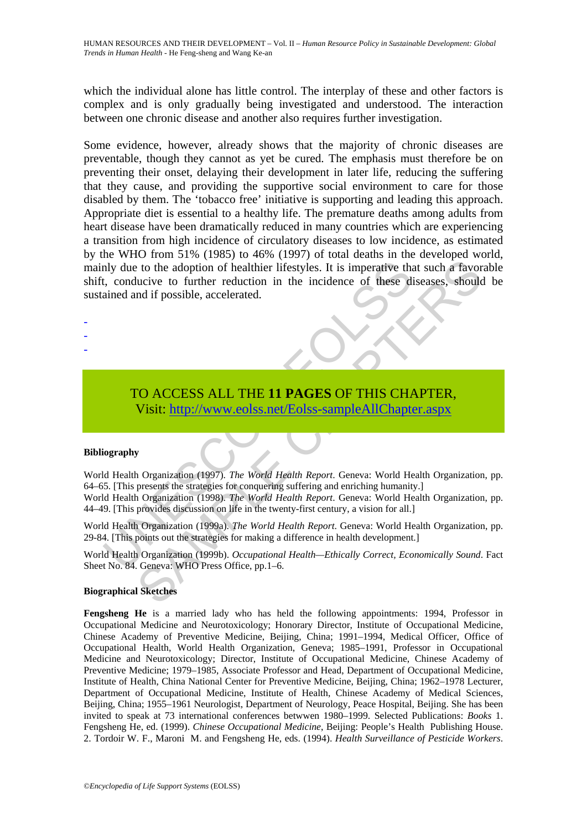which the individual alone has little control. The interplay of these and other factors is complex and is only gradually being investigated and understood. The interaction between one chronic disease and another also requires further investigation.

many due to the adoption of healthier lifestyles. It is imperative that<br>
t, conducive to further reduction in the incidence of these diained and if possible, accelerated.<br>
TO ACCESS ALL THE 11 PAGES OF THIS CHA<br>
Visit: htt 1 of the adoption of healthier lifestyles. It is imperative that such a favor<br>such to the adoption of healthier lifestyles. It is imperative that such a favor<br>ucive to further reduction in the incidence of these diseases, Some evidence, however, already shows that the majority of chronic diseases are preventable, though they cannot as yet be cured. The emphasis must therefore be on preventing their onset, delaying their development in later life, reducing the suffering that they cause, and providing the supportive social environment to care for those disabled by them. The 'tobacco free' initiative is supporting and leading this approach. Appropriate diet is essential to a healthy life. The premature deaths among adults from heart disease have been dramatically reduced in many countries which are experiencing a transition from high incidence of circulatory diseases to low incidence, as estimated by the WHO from 51% (1985) to 46% (1997) of total deaths in the developed world, mainly due to the adoption of healthier lifestyles. It is imperative that such a favorable shift, conducive to further reduction in the incidence of these diseases, should be sustained and if possible, accelerated.

- -
- -
- -

# TO ACCESS ALL THE **11 PAGES** OF THIS CHAPTER, Visit: http://www.eolss.net/Eolss-sampleAllChapter.aspx

#### **Bibliography**

World Health Organization (1997). *The World Health Report*. Geneva: World Health Organization, pp. 64–65. [This presents the strategies for conquering suffering and enriching humanity.]

World Health Organization (1998). *The World Health Report*. Geneva: World Health Organization, pp. 44–49. [This provides discussion on life in the twenty-first century, a vision for all.]

World Health Organization (1999a). *The World Health Report*. Geneva: World Health Organization, pp. 29-84. [This points out the strategies for making a difference in health development.]

World Health Organization (1999b). *Occupational Health—Ethically Correct, Economically Sound*. Fact Sheet No. 84. Geneva: WHO Press Office, pp.1–6.

#### **Biographical Sketches**

**Fengsheng He** is a married lady who has held the following appointments: 1994, Professor in Occupational Medicine and Neurotoxicology; Honorary Director, Institute of Occupational Medicine, Chinese Academy of Preventive Medicine, Beijing, China; 1991–1994, Medical Officer, Office of Occupational Health, World Health Organization, Geneva; 1985–1991, Professor in Occupational Medicine and Neurotoxicology; Director, Institute of Occupational Medicine, Chinese Academy of Preventive Medicine; 1979–1985, Associate Professor and Head, Department of Occupational Medicine, Institute of Health, China National Center for Preventive Medicine, Beijing, China; 1962–1978 Lecturer, Department of Occupational Medicine, Institute of Health, Chinese Academy of Medical Sciences, Beijing, China; 1955–1961 Neurologist, Department of Neurology, Peace Hospital, Beijing. She has been invited to speak at 73 international conferences betwwen 1980–1999. Selected Publications: *Books* 1. Fengsheng He, ed. (1999). *Chinese Occupational Medicine*, Beijing: People's Health Publishing House. 2. Tordoir W. F., Maroni M. and Fengsheng He, eds. (1994). *Health Surveillance of Pesticide Workers*.